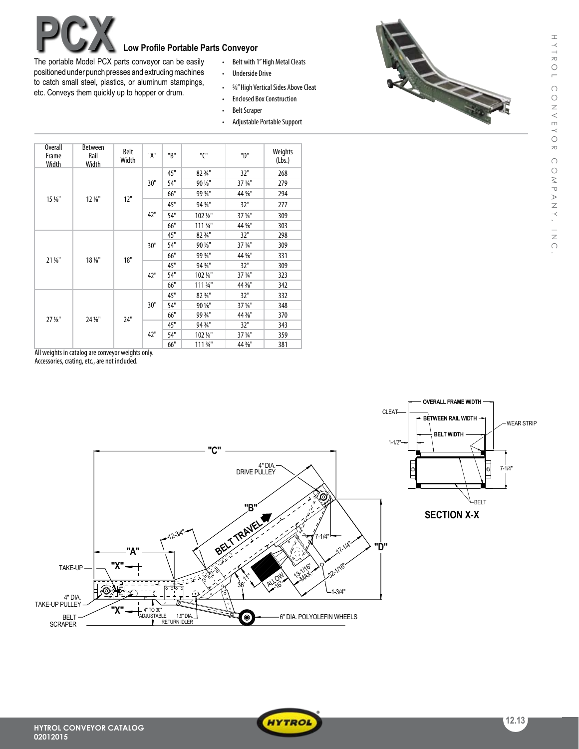## **Low Profile Portable Parts Conveyor**<br>
rts conveyor can be easily **contable that**

The portable Model PCX parts conveyor can be easily positioned under punch presses and extruding machines to catch small steel, plastics, or aluminum stampings, etc. Conveys them quickly up to hopper or drum.

- Belt with 1" High Metal Cleats
- • Underside Drive
- 5/8" High Vertical Sides Above Cleat
- Enclosed Box Construction
- Belt Scraper
- Adjustable Portable Support



| Overall<br>Frame<br><b>Width</b> | Between<br>Rail<br><b>Width</b> | <b>Belt</b><br>Width | "A" | "B" | "C"      | "D"     | Weights<br>(Lbs.) |
|----------------------------------|---------------------------------|----------------------|-----|-----|----------|---------|-------------------|
| 15 %"                            | $12\frac{1}{8}$ "               | 12"                  | 30" | 45" | 82 3/4"  | 32"     | 268               |
|                                  |                                 |                      |     | 54" | 90 1/8"  | 37 1/4" | 279               |
|                                  |                                 |                      |     | 66" | 99 3/4"  | 44 3/8" | 294               |
|                                  |                                 |                      | 42" | 45" | 94 3/4"  | 32"     | 277               |
|                                  |                                 |                      |     | 54" | 102 %"   | 37 1/4" | 309               |
|                                  |                                 |                      |     | 66" | 111 3/4" | 44 3/8" | 303               |
| $21\%$ "                         | 18 %"                           | 18"                  | 30" | 45" | 82 3/4"  | 32"     | 298               |
|                                  |                                 |                      |     | 54" | 90 1/8"  | 37 1/4" | 309               |
|                                  |                                 |                      |     | 66" | 99 3/4"  | 44 3/8" | 331               |
|                                  |                                 |                      | 42" | 45" | 94 3/4"  | 32"     | 309               |
|                                  |                                 |                      |     | 54" | 102 %"   | 37 1/4" | 323               |
|                                  |                                 |                      |     | 66" | 111 3/4" | 44 3/8" | 342               |
| $27\,\frac{1}{8}$ "              | 24 %"                           | 24"                  | 30" | 45" | 82 3/4"  | 32"     | 332               |
|                                  |                                 |                      |     | 54" | 90 1/8"  | 37 1/4" | 348               |
|                                  |                                 |                      |     | 66" | 99 3/4"  | 44 3/8" | 370               |
|                                  |                                 |                      | 42" | 45" | 94 3/4"  | 32"     | 343               |
|                                  |                                 |                      |     | 54" | 102 %"   | 37 1/4" | 359               |
|                                  |                                 |                      |     | 66" | 111 3/4" | 44 %"   | 381               |

All weights in catalog are conveyor weights only.

Accessories, crating, etc., are not included.